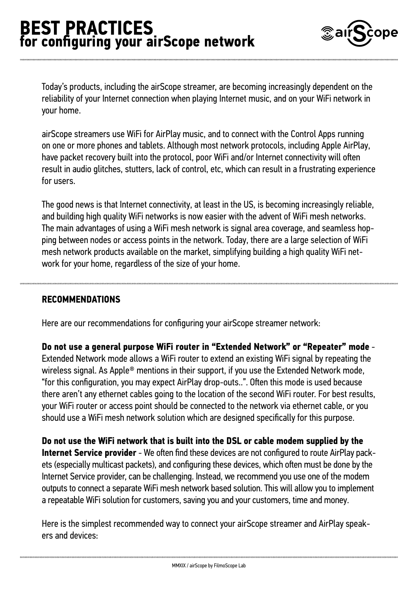

Today's products, including the airScope streamer, are becoming increasingly dependent on the reliability of your Internet connection when playing Internet music, and on your WiFi network in your home.

airScope streamers use WiFi for AirPlay music, and to connect with the Control Apps running on one or more phones and tablets. Although most network protocols, including Apple AirPlay, have packet recovery built into the protocol, poor WiFi and/or Internet connectivity will often result in audio glitches, stutters, lack of control, etc, which can result in a frustrating experience for users.

The good news is that Internet connectivity, at least in the US, is becoming increasingly reliable, and building high quality WiFi networks is now easier with the advent of WiFi mesh networks. The main advantages of using a WiFi mesh network is signal area coverage, and seamless hopping between nodes or access points in the network. Today, there are a large selection of WiFi mesh network products available on the market, simplifying building a high quality WiFi network for your home, regardless of the size of your home.

#### **RECOMMENDATIONS**

Here are our recommendations for configuring your airScope streamer network:

**Do not use a general purpose WiFi router in "Extended Network" or "Repeater" mode** - Extended Network mode allows a WiFi router to extend an existing WiFi signal by repeating the wireless signal. As Apple® mentions in their support, if you use the Extended Network mode, "for this configuration, you may expect AirPlay drop-outs..". Often this mode is used because there aren't any ethernet cables going to the location of the second WiFi router. For best results, your WiFi router or access point should be connected to the network via ethernet cable, or you should use a WiFi mesh network solution which are designed specifically for this purpose.

**Do not use the WiFi network that is built into the DSL or cable modem supplied by the Internet Service provider** - We often find these devices are not configured to route AirPlay packets (especially multicast packets), and configuring these devices, which often must be done by the Internet Service provider, can be challenging. Instead, we recommend you use one of the modem outputs to connect a separate WiFi mesh network based solution. This will allow you to implement a repeatable WiFi solution for customers, saving you and your customers, time and money.

Here is the simplest recommended way to connect your airScope streamer and AirPlay speakers and devices: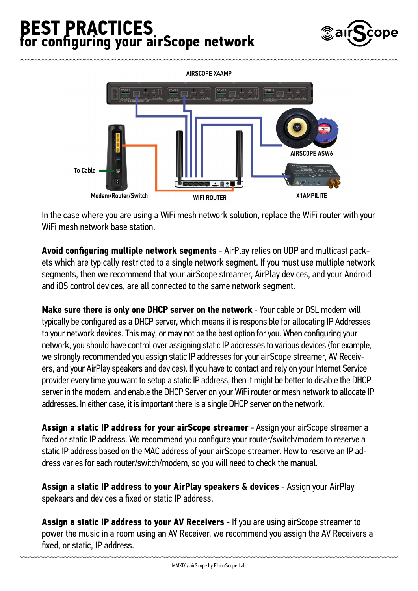# **BEST PRACTICES for configuring your airScope network**



**AIRSCOPE X4AMP AIRSCOPE ASW6 To Cable** Modem/Router/Switch X1AMPILITE **WIFI ROUTER** 

In the case where you are using a WiFi mesh network solution, replace the WiFi router with your WiFi mesh network base station.

**Avoid configuring multiple network segments** - AirPlay relies on UDP and multicast packets which are typically restricted to a single network segment. If you must use multiple network segments, then we recommend that your airScope streamer, AirPlay devices, and your Android and iOS control devices, are all connected to the same network segment.

**Make sure there is only one DHCP server on the network** - Your cable or DSL modem will typically be configured as a DHCP server, which means it is responsible for allocating IP Addresses to your network devices. This may, or may not be the best option for you. When configuring your network, you should have control over assigning static IP addresses to various devices (for example, we strongly recommended you assign static IP addresses for your airScope streamer, AV Receivers, and your AirPlay speakers and devices). If you have to contact and rely on your Internet Service provider every time you want to setup a static IP address, then it might be better to disable the DHCP server in the modem, and enable the DHCP Server on your WiFi router or mesh network to allocate IP addresses. In either case, it is important there is a single DHCP server on the network.

**Assign a static IP address for your airScope streamer** - Assign your airScope streamer a fixed or static IP address. We recommend you configure your router/switch/modem to reserve a static IP address based on the MAC address of your airScope streamer. How to reserve an IP address varies for each router/switch/modem, so you will need to check the manual.

**Assign a static IP address to your AirPlay speakers & devices** - Assign your AirPlay spekears and devices a fixed or static IP address.

**Assign a static IP address to your AV Receivers** - If you are using airScope streamer to power the music in a room using an AV Receiver, we recommend you assign the AV Receivers a fixed, or static, IP address.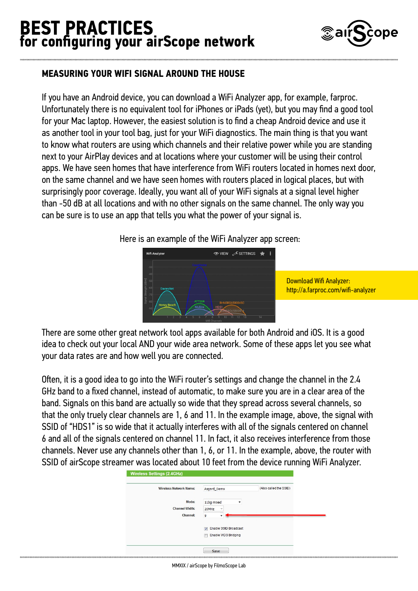## **BEST PRACTICES for configuring your airScope network**



### **MEASURING YOUR WIFI SIGNAL AROUND THE HOUSE**

If you have an Android device, you can download a WiFi Analyzer app, for example, farproc. Unfortunately there is no equivalent tool for iPhones or iPads (yet), but you may find a good tool for your Mac laptop. However, the easiest solution is to find a cheap Android device and use it as another tool in your tool bag, just for your WiFi diagnostics. The main thing is that you want to know what routers are using which channels and their relative power while you are standing next to your AirPlay devices and at locations where your customer will be using their control apps. We have seen homes that have interference from WiFi routers located in homes next door, on the same channel and we have seen homes with routers placed in logical places, but with surprisingly poor coverage. Ideally, you want all of your WiFi signals at a signal level higher than -50 dB at all locations and with no other signals on the same channel. The only way you can be sure is to use an app that tells you what the power of your signal is.

Here is an example of the WiFi Analyzer app screen:



Download Wifi Analyzer: <http://a.farproc.com/wifi-analyzer>

There are some other great network tool apps available for both Android and iOS. It is a good idea to check out your local AND your wide area network. Some of these apps let you see what your data rates are and how well you are connected.

Often, it is a good idea to go into the WiFi router's settings and change the channel in the 2.4 GHz band to a fixed channel, instead of automatic, to make sure you are in a clear area of the band. Signals on this band are actually so wide that they spread across several channels, so that the only truely clear channels are 1, 6 and 11. In the example image, above, the signal with SSID of "HDS1" is so wide that it actually interferes with all of the signals centered on channel 6 and all of the signals centered on channel 11. In fact, it also receives interference from those channels. Never use any channels other than 1, 6, or 11. In the example, above, the router with SSID of airScope streamer was located about 10 feet from the device running WiFi Analyzer.

| <b>Wireless Network Name:</b> | Asgard_Demo                             | (Also called the SSID) |
|-------------------------------|-----------------------------------------|------------------------|
| Mode:                         | 11bq mixed<br>۰                         |                        |
| <b>Channel Width:</b>         | 20MHz<br>$\mathbf{v}$                   |                        |
| <b>Channel:</b>               | 9                                       |                        |
|                               | Enable SSID Broadcast<br>$\overline{v}$ |                        |
|                               | <b>Enable WDS Bridging</b>              |                        |

MMXIX / airScope by FilmoScope Lab